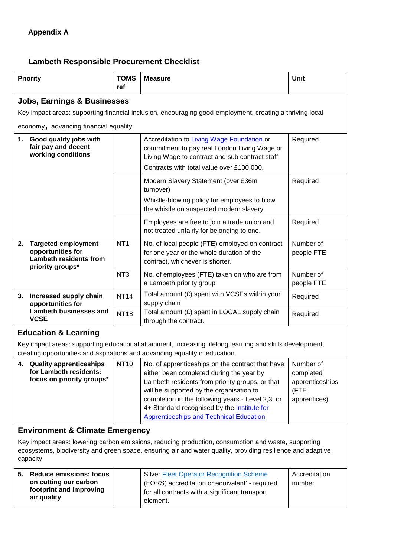## **Lambeth Responsible Procurement Checklist**

| <b>Priority</b>                                                                                                                                   | <b>TOMS</b><br>ref | <b>Measure</b>                                                                                                                                                                             | Unit                    |  |  |  |
|---------------------------------------------------------------------------------------------------------------------------------------------------|--------------------|--------------------------------------------------------------------------------------------------------------------------------------------------------------------------------------------|-------------------------|--|--|--|
| <b>Jobs, Earnings &amp; Businesses</b>                                                                                                            |                    |                                                                                                                                                                                            |                         |  |  |  |
| Key impact areas: supporting financial inclusion, encouraging good employment, creating a thriving local<br>economy, advancing financial equality |                    |                                                                                                                                                                                            |                         |  |  |  |
| Good quality jobs with<br>1.<br>fair pay and decent<br>working conditions                                                                         |                    | Accreditation to Living Wage Foundation or<br>commitment to pay real London Living Wage or<br>Living Wage to contract and sub contract staff.<br>Contracts with total value over £100,000. | Required                |  |  |  |
|                                                                                                                                                   |                    | Modern Slavery Statement (over £36m<br>turnover)<br>Whistle-blowing policy for employees to blow<br>the whistle on suspected modern slavery.                                               | Required                |  |  |  |
|                                                                                                                                                   |                    | Employees are free to join a trade union and<br>not treated unfairly for belonging to one.                                                                                                 | Required                |  |  |  |
| 2.<br><b>Targeted employment</b><br>opportunities for<br><b>Lambeth residents from</b><br>priority groups*                                        | NT <sub>1</sub>    | No. of local people (FTE) employed on contract<br>for one year or the whole duration of the<br>contract, whichever is shorter.                                                             | Number of<br>people FTE |  |  |  |
|                                                                                                                                                   | NT <sub>3</sub>    | No. of employees (FTE) taken on who are from<br>a Lambeth priority group                                                                                                                   | Number of<br>people FTE |  |  |  |
| 3.<br>Increased supply chain<br>opportunities for                                                                                                 | <b>NT14</b>        | Total amount (£) spent with VCSEs within your<br>supply chain                                                                                                                              | Required                |  |  |  |
| <b>Lambeth businesses and</b><br><b>VCSE</b>                                                                                                      | <b>NT18</b>        | Total amount (£) spent in LOCAL supply chain<br>through the contract.                                                                                                                      | Required                |  |  |  |

Key impact areas: supporting educational attainment, increasing lifelong learning and skills development, creating opportunities and aspirations and advancing equality in education.

| 4. | <b>Quality apprenticeships</b><br>for Lambeth residents:<br>focus on priority groups* | <b>NT10</b> | No. of apprenticeships on the contract that have<br>either been completed during the year by<br>Lambeth residents from priority groups, or that<br>will be supported by the organisation to<br>completion in the following years - Level 2,3, or<br>4+ Standard recognised by the Institute for | Number of<br>completed<br>apprenticeships<br>(FTE<br>apprentices) |
|----|---------------------------------------------------------------------------------------|-------------|-------------------------------------------------------------------------------------------------------------------------------------------------------------------------------------------------------------------------------------------------------------------------------------------------|-------------------------------------------------------------------|
|    |                                                                                       |             | <b>Apprenticeships and Technical Education</b>                                                                                                                                                                                                                                                  |                                                                   |

## **Environment & Climate Emergency**

Key impact areas: lowering carbon emissions, reducing production, consumption and waste, supporting ecosystems, biodiversity and green space, ensuring air and water quality, providing resilience and adaptive capacity

| on cutting our carbon<br>(FORS) accreditation or equivalent' - required<br>number<br>footprint and improving<br>for all contracts with a significant transport<br>air quality<br>element. | 5. | <b>Reduce emissions: focus</b> | <b>Silver Fleet Operator Recognition Scheme</b> | Accreditation |  |
|-------------------------------------------------------------------------------------------------------------------------------------------------------------------------------------------|----|--------------------------------|-------------------------------------------------|---------------|--|
|-------------------------------------------------------------------------------------------------------------------------------------------------------------------------------------------|----|--------------------------------|-------------------------------------------------|---------------|--|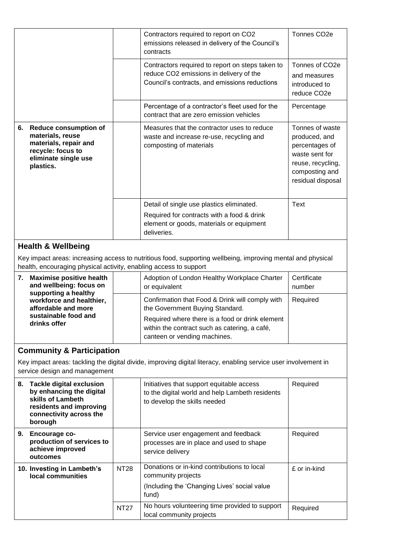|    |                                                                                                                                     | Contractors required to report on CO2<br>emissions released in delivery of the Council's<br>contracts                                              | Tonnes CO <sub>2</sub> e                                                                                                         |
|----|-------------------------------------------------------------------------------------------------------------------------------------|----------------------------------------------------------------------------------------------------------------------------------------------------|----------------------------------------------------------------------------------------------------------------------------------|
|    |                                                                                                                                     | Contractors required to report on steps taken to<br>reduce CO2 emissions in delivery of the<br>Council's contracts, and emissions reductions       | Tonnes of CO <sub>2e</sub><br>and measures<br>introduced to<br>reduce CO <sub>2</sub> e                                          |
|    |                                                                                                                                     | Percentage of a contractor's fleet used for the<br>contract that are zero emission vehicles                                                        | Percentage                                                                                                                       |
| 6. | <b>Reduce consumption of</b><br>materials, reuse<br>materials, repair and<br>recycle: focus to<br>eliminate single use<br>plastics. | Measures that the contractor uses to reduce<br>waste and increase re-use, recycling and<br>composting of materials                                 | Tonnes of waste<br>produced, and<br>percentages of<br>waste sent for<br>reuse, recycling,<br>composting and<br>residual disposal |
|    |                                                                                                                                     | Detail of single use plastics eliminated.<br>Required for contracts with a food & drink<br>element or goods, materials or equipment<br>deliveries. | <b>Text</b>                                                                                                                      |

## **Health & Wellbeing**

Key impact areas: increasing access to nutritious food, supporting wellbeing, improving mental and physical health, encouraging physical activity, enabling access to support

| 7. | <b>Maximise positive health</b><br>and wellbeing: focus on<br>supporting a healthy<br>workforce and healthier,<br>affordable and more<br>sustainable food and<br>drinks offer | Adoption of London Healthy Workplace Charter<br>or equivalent                                                                    | Certificate<br>number |
|----|-------------------------------------------------------------------------------------------------------------------------------------------------------------------------------|----------------------------------------------------------------------------------------------------------------------------------|-----------------------|
|    |                                                                                                                                                                               | Confirmation that Food & Drink will comply with<br>the Government Buying Standard.                                               | Required              |
|    |                                                                                                                                                                               | Required where there is a food or drink element<br>within the contract such as catering, a café,<br>canteen or vending machines. |                       |

## **Community & Participation**

Key impact areas: tackling the digital divide, improving digital literacy, enabling service user involvement in service design and management

| 8. | <b>Tackle digital exclusion</b><br>by enhancing the digital<br>skills of Lambeth<br>residents and improving<br>connectivity across the<br>borough |             | Initiatives that support equitable access<br>to the digital world and help Lambeth residents<br>to develop the skills needed | Required     |
|----|---------------------------------------------------------------------------------------------------------------------------------------------------|-------------|------------------------------------------------------------------------------------------------------------------------------|--------------|
| 9. | <b>Encourage co-</b><br>production of services to<br>achieve improved<br>outcomes                                                                 |             | Service user engagement and feedback<br>processes are in place and used to shape<br>service delivery                         | Required     |
|    | 10. Investing in Lambeth's<br>local communities                                                                                                   | <b>NT28</b> | Donations or in-kind contributions to local<br>community projects<br>(Including the 'Changing Lives' social value<br>fund)   | £ or in-kind |
|    |                                                                                                                                                   | <b>NT27</b> | No hours volunteering time provided to support<br>local community projects                                                   | Required     |